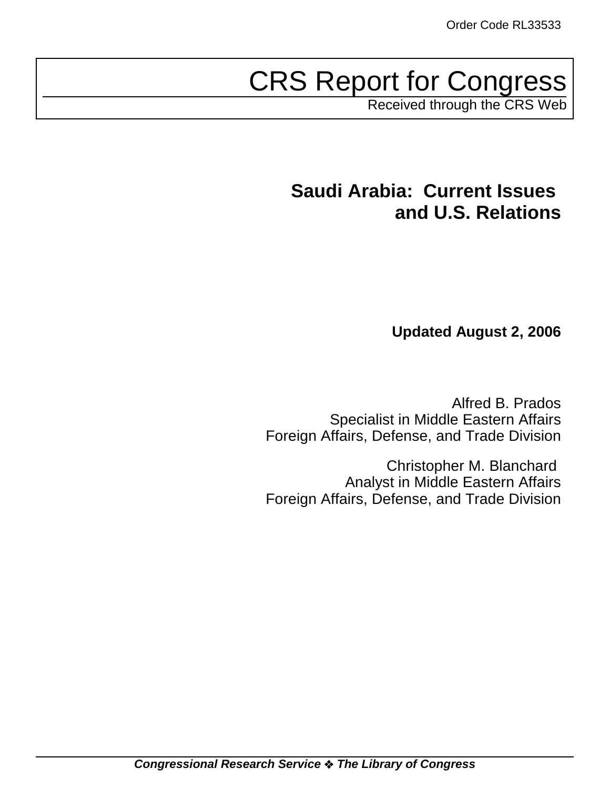# CRS Report for Congress

Received through the CRS Web

# **Saudi Arabia: Current Issues and U.S. Relations**

**Updated August 2, 2006**

Alfred B. Prados Specialist in Middle Eastern Affairs Foreign Affairs, Defense, and Trade Division

Christopher M. Blanchard Analyst in Middle Eastern Affairs Foreign Affairs, Defense, and Trade Division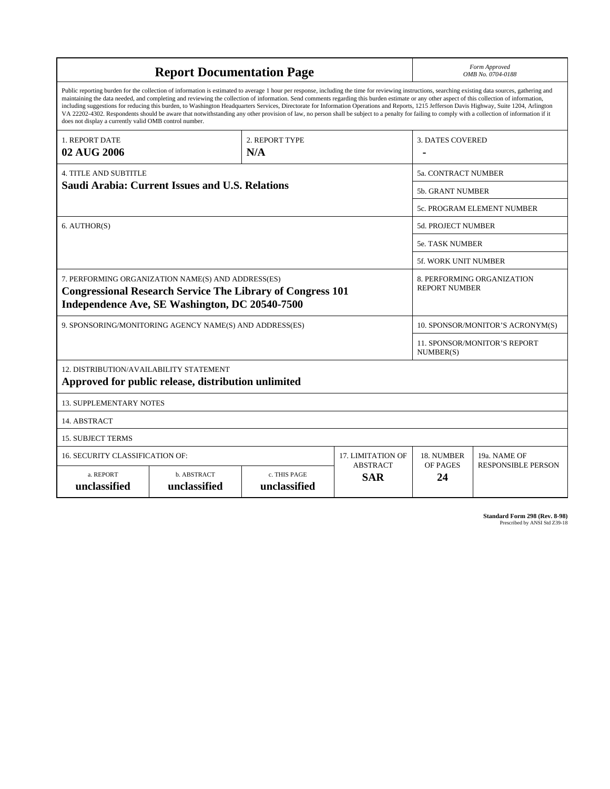| <b>Report Documentation Page</b>                                                                                                                                                                                                                                                                                                                                                                                                                                                                                                                                                                                                                                                                                                                                                                                                                                   |                             |                              |                               | Form Approved<br>OMB No. 0704-0188        |                           |  |
|--------------------------------------------------------------------------------------------------------------------------------------------------------------------------------------------------------------------------------------------------------------------------------------------------------------------------------------------------------------------------------------------------------------------------------------------------------------------------------------------------------------------------------------------------------------------------------------------------------------------------------------------------------------------------------------------------------------------------------------------------------------------------------------------------------------------------------------------------------------------|-----------------------------|------------------------------|-------------------------------|-------------------------------------------|---------------------------|--|
| Public reporting burden for the collection of information is estimated to average 1 hour per response, including the time for reviewing instructions, searching existing data sources, gathering and<br>maintaining the data needed, and completing and reviewing the collection of information. Send comments regarding this burden estimate or any other aspect of this collection of information,<br>including suggestions for reducing this burden, to Washington Headquarters Services, Directorate for Information Operations and Reports, 1215 Jefferson Davis Highway, Suite 1204, Arlington<br>VA 22202-4302. Respondents should be aware that notwithstanding any other provision of law, no person shall be subject to a penalty for failing to comply with a collection of information if it<br>does not display a currently valid OMB control number. |                             |                              |                               |                                           |                           |  |
| 2. REPORT TYPE<br>1. REPORT DATE                                                                                                                                                                                                                                                                                                                                                                                                                                                                                                                                                                                                                                                                                                                                                                                                                                   |                             |                              |                               | <b>3. DATES COVERED</b>                   |                           |  |
| 02 AUG 2006<br>N/A                                                                                                                                                                                                                                                                                                                                                                                                                                                                                                                                                                                                                                                                                                                                                                                                                                                 |                             |                              |                               |                                           |                           |  |
| <b>4. TITLE AND SUBTITLE</b>                                                                                                                                                                                                                                                                                                                                                                                                                                                                                                                                                                                                                                                                                                                                                                                                                                       |                             |                              |                               | 5a. CONTRACT NUMBER                       |                           |  |
| <b>Saudi Arabia: Current Issues and U.S. Relations</b>                                                                                                                                                                                                                                                                                                                                                                                                                                                                                                                                                                                                                                                                                                                                                                                                             |                             |                              | <b>5b. GRANT NUMBER</b>       |                                           |                           |  |
|                                                                                                                                                                                                                                                                                                                                                                                                                                                                                                                                                                                                                                                                                                                                                                                                                                                                    |                             |                              |                               | 5c. PROGRAM ELEMENT NUMBER                |                           |  |
| 6. AUTHOR(S)                                                                                                                                                                                                                                                                                                                                                                                                                                                                                                                                                                                                                                                                                                                                                                                                                                                       |                             |                              | <b>5d. PROJECT NUMBER</b>     |                                           |                           |  |
|                                                                                                                                                                                                                                                                                                                                                                                                                                                                                                                                                                                                                                                                                                                                                                                                                                                                    |                             |                              |                               | <b>5e. TASK NUMBER</b>                    |                           |  |
|                                                                                                                                                                                                                                                                                                                                                                                                                                                                                                                                                                                                                                                                                                                                                                                                                                                                    |                             |                              |                               | 5f. WORK UNIT NUMBER                      |                           |  |
| 7. PERFORMING ORGANIZATION NAME(S) AND ADDRESS(ES)<br>8. PERFORMING ORGANIZATION<br><b>REPORT NUMBER</b><br><b>Congressional Research Service The Library of Congress 101</b><br>Independence Ave, SE Washington, DC 20540-7500                                                                                                                                                                                                                                                                                                                                                                                                                                                                                                                                                                                                                                    |                             |                              |                               |                                           |                           |  |
| 9. SPONSORING/MONITORING AGENCY NAME(S) AND ADDRESS(ES)                                                                                                                                                                                                                                                                                                                                                                                                                                                                                                                                                                                                                                                                                                                                                                                                            |                             |                              |                               | 10. SPONSOR/MONITOR'S ACRONYM(S)          |                           |  |
|                                                                                                                                                                                                                                                                                                                                                                                                                                                                                                                                                                                                                                                                                                                                                                                                                                                                    |                             |                              |                               | 11. SPONSOR/MONITOR'S REPORT<br>NUMBER(S) |                           |  |
| 12. DISTRIBUTION/AVAILABILITY STATEMENT<br>Approved for public release, distribution unlimited                                                                                                                                                                                                                                                                                                                                                                                                                                                                                                                                                                                                                                                                                                                                                                     |                             |                              |                               |                                           |                           |  |
| <b>13. SUPPLEMENTARY NOTES</b>                                                                                                                                                                                                                                                                                                                                                                                                                                                                                                                                                                                                                                                                                                                                                                                                                                     |                             |                              |                               |                                           |                           |  |
| 14. ABSTRACT                                                                                                                                                                                                                                                                                                                                                                                                                                                                                                                                                                                                                                                                                                                                                                                                                                                       |                             |                              |                               |                                           |                           |  |
| <b>15. SUBJECT TERMS</b>                                                                                                                                                                                                                                                                                                                                                                                                                                                                                                                                                                                                                                                                                                                                                                                                                                           |                             |                              |                               |                                           |                           |  |
| 16. SECURITY CLASSIFICATION OF:                                                                                                                                                                                                                                                                                                                                                                                                                                                                                                                                                                                                                                                                                                                                                                                                                                    |                             |                              | <b>17. LIMITATION OF</b>      | 18. NUMBER                                | 19a. NAME OF              |  |
| a. REPORT<br>unclassified                                                                                                                                                                                                                                                                                                                                                                                                                                                                                                                                                                                                                                                                                                                                                                                                                                          | b. ABSTRACT<br>unclassified | c. THIS PAGE<br>unclassified | <b>ABSTRACT</b><br><b>SAR</b> | OF PAGES<br>24                            | <b>RESPONSIBLE PERSON</b> |  |

**Standard Form 298 (Rev. 8-98)**<br>Prescribed by ANSI Std Z39-18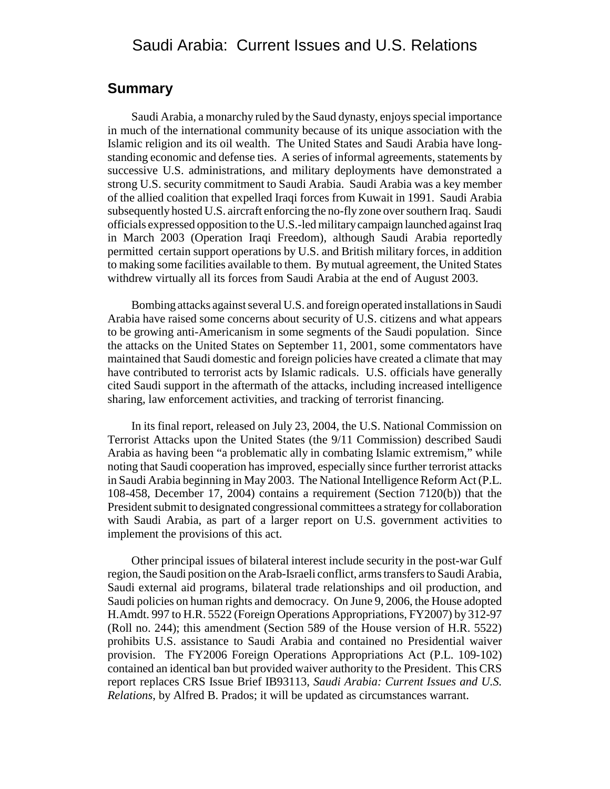### Saudi Arabia: Current Issues and U.S. Relations

### **Summary**

Saudi Arabia, a monarchy ruled by the Saud dynasty, enjoys special importance in much of the international community because of its unique association with the Islamic religion and its oil wealth. The United States and Saudi Arabia have longstanding economic and defense ties. A series of informal agreements, statements by successive U.S. administrations, and military deployments have demonstrated a strong U.S. security commitment to Saudi Arabia. Saudi Arabia was a key member of the allied coalition that expelled Iraqi forces from Kuwait in 1991. Saudi Arabia subsequently hosted U.S. aircraft enforcing the no-fly zone over southern Iraq. Saudi officials expressed opposition to the U.S.-led military campaign launched against Iraq in March 2003 (Operation Iraqi Freedom), although Saudi Arabia reportedly permitted certain support operations by U.S. and British military forces, in addition to making some facilities available to them. By mutual agreement, the United States withdrew virtually all its forces from Saudi Arabia at the end of August 2003.

Bombing attacks against several U.S. and foreign operated installations in Saudi Arabia have raised some concerns about security of U.S. citizens and what appears to be growing anti-Americanism in some segments of the Saudi population. Since the attacks on the United States on September 11, 2001, some commentators have maintained that Saudi domestic and foreign policies have created a climate that may have contributed to terrorist acts by Islamic radicals. U.S. officials have generally cited Saudi support in the aftermath of the attacks, including increased intelligence sharing, law enforcement activities, and tracking of terrorist financing.

In its final report, released on July 23, 2004, the U.S. National Commission on Terrorist Attacks upon the United States (the 9/11 Commission) described Saudi Arabia as having been "a problematic ally in combating Islamic extremism," while noting that Saudi cooperation has improved, especially since further terrorist attacks in Saudi Arabia beginning in May 2003. The National Intelligence Reform Act (P.L. 108-458, December 17, 2004) contains a requirement (Section 7120(b)) that the President submit to designated congressional committees a strategy for collaboration with Saudi Arabia, as part of a larger report on U.S. government activities to implement the provisions of this act.

Other principal issues of bilateral interest include security in the post-war Gulf region, the Saudi position on the Arab-Israeli conflict, arms transfers to Saudi Arabia, Saudi external aid programs, bilateral trade relationships and oil production, and Saudi policies on human rights and democracy. On June 9, 2006, the House adopted H.Amdt. 997 to H.R. 5522 (Foreign Operations Appropriations, FY2007) by 312-97 (Roll no. 244); this amendment (Section 589 of the House version of H.R. 5522) prohibits U.S. assistance to Saudi Arabia and contained no Presidential waiver provision. The FY2006 Foreign Operations Appropriations Act (P.L. 109-102) contained an identical ban but provided waiver authority to the President. This CRS report replaces CRS Issue Brief IB93113, *Saudi Arabia: Current Issues and U.S. Relations*, by Alfred B. Prados; it will be updated as circumstances warrant.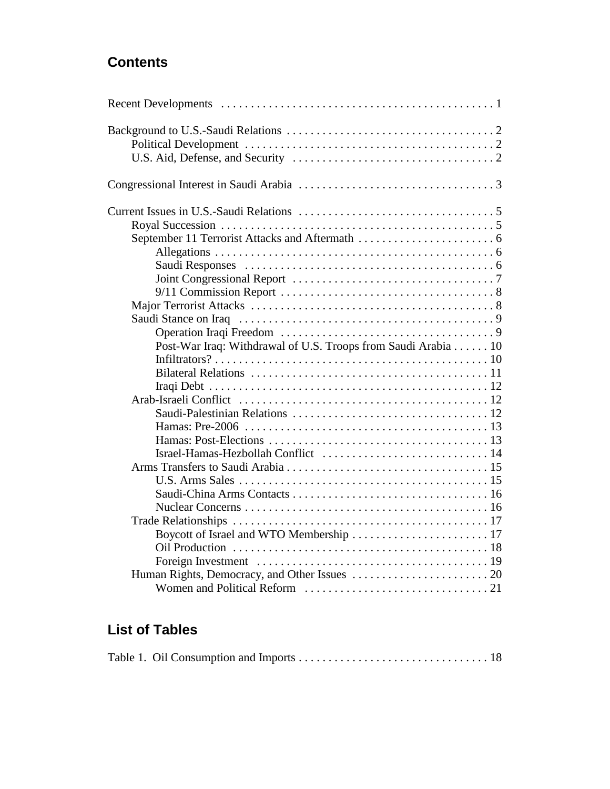### **Contents**

| Post-War Iraq: Withdrawal of U.S. Troops from Saudi Arabia 10 |  |
|---------------------------------------------------------------|--|
|                                                               |  |
|                                                               |  |
|                                                               |  |
|                                                               |  |
|                                                               |  |
|                                                               |  |
|                                                               |  |
|                                                               |  |
|                                                               |  |
|                                                               |  |
|                                                               |  |
|                                                               |  |
|                                                               |  |
|                                                               |  |
|                                                               |  |
|                                                               |  |
|                                                               |  |
|                                                               |  |

### **List of Tables**

|--|--|--|--|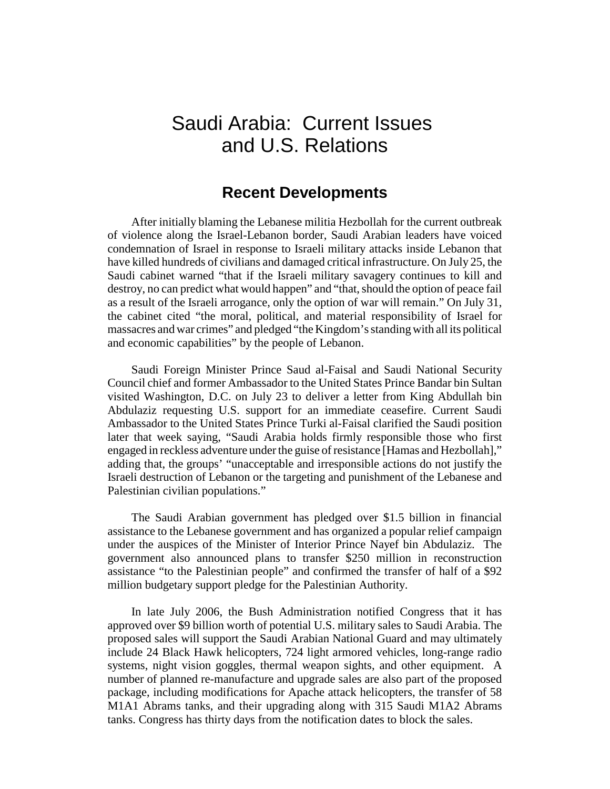# Saudi Arabia: Current Issues and U.S. Relations

### **Recent Developments**

After initially blaming the Lebanese militia Hezbollah for the current outbreak of violence along the Israel-Lebanon border, Saudi Arabian leaders have voiced condemnation of Israel in response to Israeli military attacks inside Lebanon that have killed hundreds of civilians and damaged critical infrastructure. On July 25, the Saudi cabinet warned "that if the Israeli military savagery continues to kill and destroy, no can predict what would happen" and "that, should the option of peace fail as a result of the Israeli arrogance, only the option of war will remain." On July 31, the cabinet cited "the moral, political, and material responsibility of Israel for massacres and war crimes" and pledged "the Kingdom's standing with all its political and economic capabilities" by the people of Lebanon.

Saudi Foreign Minister Prince Saud al-Faisal and Saudi National Security Council chief and former Ambassador to the United States Prince Bandar bin Sultan visited Washington, D.C. on July 23 to deliver a letter from King Abdullah bin Abdulaziz requesting U.S. support for an immediate ceasefire. Current Saudi Ambassador to the United States Prince Turki al-Faisal clarified the Saudi position later that week saying, "Saudi Arabia holds firmly responsible those who first engaged in reckless adventure under the guise of resistance [Hamas and Hezbollah]," adding that, the groups' "unacceptable and irresponsible actions do not justify the Israeli destruction of Lebanon or the targeting and punishment of the Lebanese and Palestinian civilian populations."

The Saudi Arabian government has pledged over \$1.5 billion in financial assistance to the Lebanese government and has organized a popular relief campaign under the auspices of the Minister of Interior Prince Nayef bin Abdulaziz. The government also announced plans to transfer \$250 million in reconstruction assistance "to the Palestinian people" and confirmed the transfer of half of a \$92 million budgetary support pledge for the Palestinian Authority.

In late July 2006, the Bush Administration notified Congress that it has approved over \$9 billion worth of potential U.S. military sales to Saudi Arabia. The proposed sales will support the Saudi Arabian National Guard and may ultimately include 24 Black Hawk helicopters, 724 light armored vehicles, long-range radio systems, night vision goggles, thermal weapon sights, and other equipment. A number of planned re-manufacture and upgrade sales are also part of the proposed package, including modifications for Apache attack helicopters, the transfer of 58 M1A1 Abrams tanks, and their upgrading along with 315 Saudi M1A2 Abrams tanks. Congress has thirty days from the notification dates to block the sales.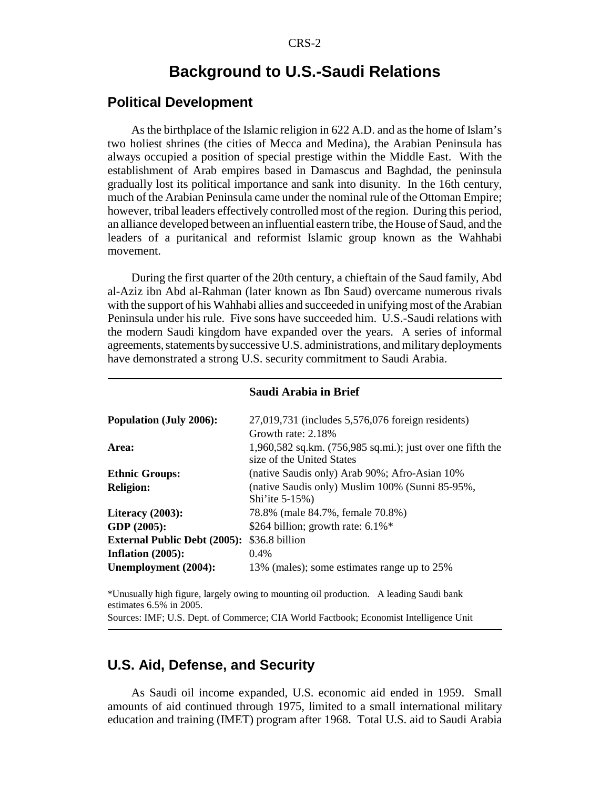### **Background to U.S.-Saudi Relations**

### **Political Development**

As the birthplace of the Islamic religion in 622 A.D. and as the home of Islam's two holiest shrines (the cities of Mecca and Medina), the Arabian Peninsula has always occupied a position of special prestige within the Middle East. With the establishment of Arab empires based in Damascus and Baghdad, the peninsula gradually lost its political importance and sank into disunity. In the 16th century, much of the Arabian Peninsula came under the nominal rule of the Ottoman Empire; however, tribal leaders effectively controlled most of the region. During this period, an alliance developed between an influential eastern tribe, the House of Saud, and the leaders of a puritanical and reformist Islamic group known as the Wahhabi movement.

During the first quarter of the 20th century, a chieftain of the Saud family, Abd al-Aziz ibn Abd al-Rahman (later known as Ibn Saud) overcame numerous rivals with the support of his Wahhabi allies and succeeded in unifying most of the Arabian Peninsula under his rule. Five sons have succeeded him. U.S.-Saudi relations with the modern Saudi kingdom have expanded over the years. A series of informal agreements, statements by successive U.S. administrations, and military deployments have demonstrated a strong U.S. security commitment to Saudi Arabia.

|                                     | Saudi Afadia in Briel                                                                |
|-------------------------------------|--------------------------------------------------------------------------------------|
| <b>Population (July 2006):</b>      | 27,019,731 (includes 5,576,076 foreign residents)                                    |
| Area:                               | Growth rate: 2.18%<br>$1,960,582$ sq.km. $(756,985$ sq.mi.); just over one fifth the |
|                                     | size of the United States                                                            |
| <b>Ethnic Groups:</b>               | (native Saudis only) Arab 90%; Afro-Asian 10%                                        |
| <b>Religion:</b>                    | (native Saudis only) Muslim 100% (Sunni 85-95%,<br>Shi'ite 5-15%)                    |
| Literacy $(2003)$ :                 | 78.8% (male 84.7%, female 70.8%)                                                     |
| GDP (2005):                         | \$264 billion; growth rate: $6.1\%$ <sup>*</sup>                                     |
| <b>External Public Debt (2005):</b> | \$36.8 billion                                                                       |
| Inflation $(2005)$ :                | 0.4%                                                                                 |
| Unemployment (2004):                | 13% (males); some estimates range up to 25%                                          |
|                                     |                                                                                      |

### **Saudi Arabia in Brief**

\*Unusually high figure, largely owing to mounting oil production. A leading Saudi bank estimates 6.5% in 2005.

#### Sources: IMF; U.S. Dept. of Commerce; CIA World Factbook; Economist Intelligence Unit

### **U.S. Aid, Defense, and Security**

As Saudi oil income expanded, U.S. economic aid ended in 1959. Small amounts of aid continued through 1975, limited to a small international military education and training (IMET) program after 1968. Total U.S. aid to Saudi Arabia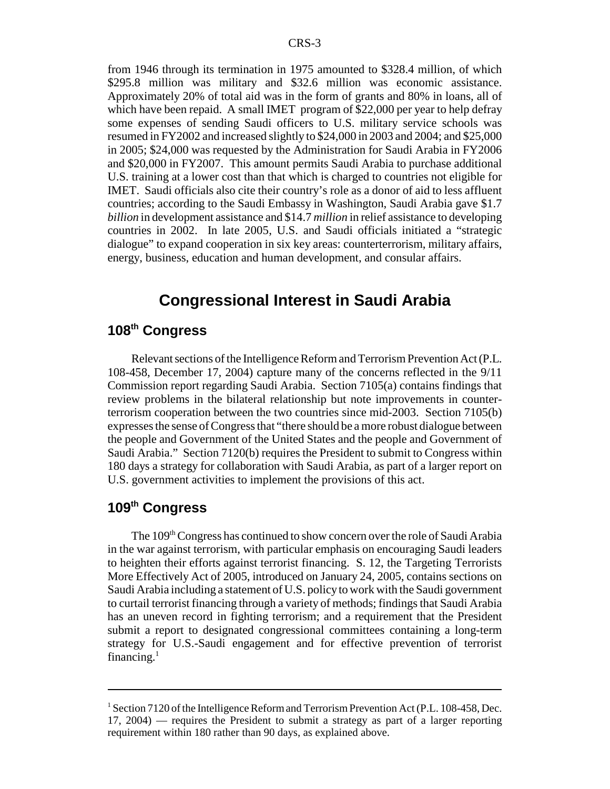from 1946 through its termination in 1975 amounted to \$328.4 million, of which \$295.8 million was military and \$32.6 million was economic assistance. Approximately 20% of total aid was in the form of grants and 80% in loans, all of which have been repaid. A small IMET program of \$22,000 per year to help defray some expenses of sending Saudi officers to U.S. military service schools was resumed in FY2002 and increased slightly to \$24,000 in 2003 and 2004; and \$25,000 in 2005; \$24,000 was requested by the Administration for Saudi Arabia in FY2006 and \$20,000 in FY2007. This amount permits Saudi Arabia to purchase additional U.S. training at a lower cost than that which is charged to countries not eligible for IMET. Saudi officials also cite their country's role as a donor of aid to less affluent countries; according to the Saudi Embassy in Washington, Saudi Arabia gave \$1.7 *billion* in development assistance and \$14.7 *million* in relief assistance to developing countries in 2002. In late 2005, U.S. and Saudi officials initiated a "strategic dialogue" to expand cooperation in six key areas: counterterrorism, military affairs, energy, business, education and human development, and consular affairs.

### **Congressional Interest in Saudi Arabia**

### **108th Congress**

Relevant sections of the Intelligence Reform and Terrorism Prevention Act (P.L. 108-458, December 17, 2004) capture many of the concerns reflected in the 9/11 Commission report regarding Saudi Arabia. Section 7105(a) contains findings that review problems in the bilateral relationship but note improvements in counterterrorism cooperation between the two countries since mid-2003. Section 7105(b) expresses the sense of Congress that "there should be a more robust dialogue between the people and Government of the United States and the people and Government of Saudi Arabia." Section 7120(b) requires the President to submit to Congress within 180 days a strategy for collaboration with Saudi Arabia, as part of a larger report on U.S. government activities to implement the provisions of this act.

### **109th Congress**

The 109<sup>th</sup> Congress has continued to show concern over the role of Saudi Arabia in the war against terrorism, with particular emphasis on encouraging Saudi leaders to heighten their efforts against terrorist financing. S. 12, the Targeting Terrorists More Effectively Act of 2005, introduced on January 24, 2005, contains sections on Saudi Arabia including a statement of U.S. policy to work with the Saudi government to curtail terrorist financing through a variety of methods; findings that Saudi Arabia has an uneven record in fighting terrorism; and a requirement that the President submit a report to designated congressional committees containing a long-term strategy for U.S.-Saudi engagement and for effective prevention of terrorist financing. $<sup>1</sup>$ </sup>

<sup>&</sup>lt;sup>1</sup> Section 7120 of the Intelligence Reform and Terrorism Prevention Act (P.L. 108-458, Dec. 17, 2004) — requires the President to submit a strategy as part of a larger reporting requirement within 180 rather than 90 days, as explained above.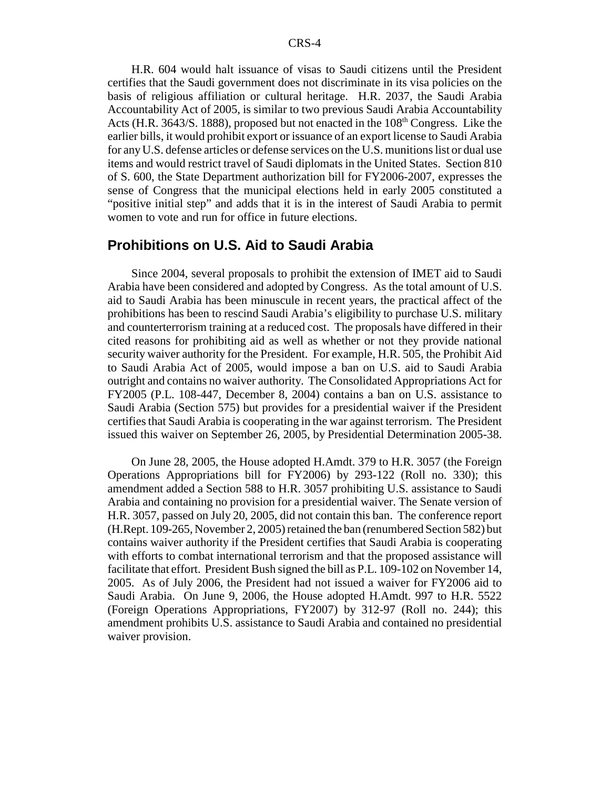H.R. 604 would halt issuance of visas to Saudi citizens until the President certifies that the Saudi government does not discriminate in its visa policies on the basis of religious affiliation or cultural heritage. H.R. 2037, the Saudi Arabia Accountability Act of 2005, is similar to two previous Saudi Arabia Accountability Acts (H.R.  $3643/S$ . 1888), proposed but not enacted in the  $108<sup>th</sup>$  Congress. Like the earlier bills, it would prohibit export or issuance of an export license to Saudi Arabia for any U.S. defense articles or defense services on the U.S. munitions list or dual use items and would restrict travel of Saudi diplomats in the United States. Section 810 of S. 600, the State Department authorization bill for FY2006-2007, expresses the sense of Congress that the municipal elections held in early 2005 constituted a "positive initial step" and adds that it is in the interest of Saudi Arabia to permit women to vote and run for office in future elections.

#### **Prohibitions on U.S. Aid to Saudi Arabia**

Since 2004, several proposals to prohibit the extension of IMET aid to Saudi Arabia have been considered and adopted by Congress. As the total amount of U.S. aid to Saudi Arabia has been minuscule in recent years, the practical affect of the prohibitions has been to rescind Saudi Arabia's eligibility to purchase U.S. military and counterterrorism training at a reduced cost. The proposals have differed in their cited reasons for prohibiting aid as well as whether or not they provide national security waiver authority for the President. For example, H.R. 505, the Prohibit Aid to Saudi Arabia Act of 2005, would impose a ban on U.S. aid to Saudi Arabia outright and contains no waiver authority. The Consolidated Appropriations Act for FY2005 (P.L. 108-447, December 8, 2004) contains a ban on U.S. assistance to Saudi Arabia (Section 575) but provides for a presidential waiver if the President certifies that Saudi Arabia is cooperating in the war against terrorism. The President issued this waiver on September 26, 2005, by Presidential Determination 2005-38.

On June 28, 2005, the House adopted H.Amdt. 379 to H.R. 3057 (the Foreign Operations Appropriations bill for FY2006) by 293-122 (Roll no. 330); this amendment added a Section 588 to H.R. 3057 prohibiting U.S. assistance to Saudi Arabia and containing no provision for a presidential waiver. The Senate version of H.R. 3057, passed on July 20, 2005, did not contain this ban. The conference report (H.Rept. 109-265, November 2, 2005) retained the ban (renumbered Section 582) but contains waiver authority if the President certifies that Saudi Arabia is cooperating with efforts to combat international terrorism and that the proposed assistance will facilitate that effort. President Bush signed the bill as P.L. 109-102 on November 14, 2005. As of July 2006, the President had not issued a waiver for FY2006 aid to Saudi Arabia. On June 9, 2006, the House adopted H.Amdt. 997 to H.R. 5522 (Foreign Operations Appropriations, FY2007) by 312-97 (Roll no. 244); this amendment prohibits U.S. assistance to Saudi Arabia and contained no presidential waiver provision.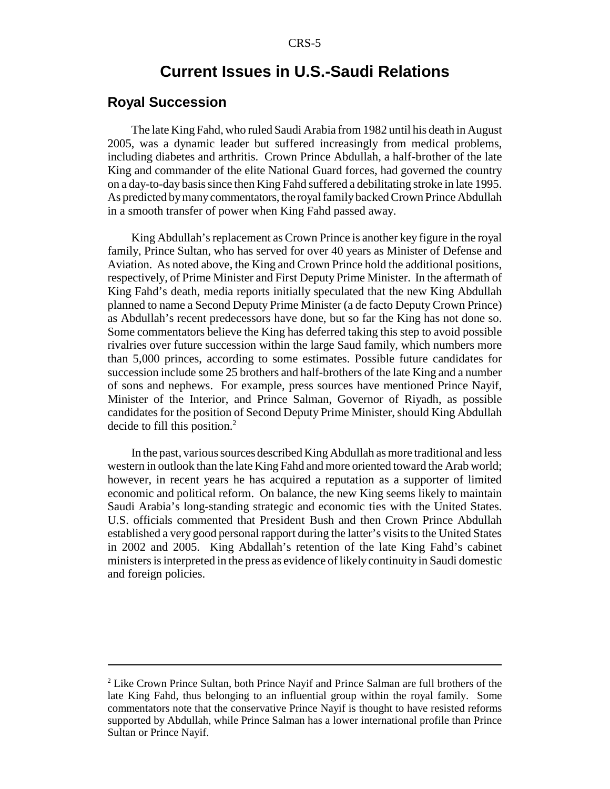### **Current Issues in U.S.-Saudi Relations**

### **Royal Succession**

The late King Fahd, who ruled Saudi Arabia from 1982 until his death in August 2005, was a dynamic leader but suffered increasingly from medical problems, including diabetes and arthritis. Crown Prince Abdullah, a half-brother of the late King and commander of the elite National Guard forces, had governed the country on a day-to-day basis since then King Fahd suffered a debilitating stroke in late 1995. As predicted by many commentators, the royal family backed Crown Prince Abdullah in a smooth transfer of power when King Fahd passed away.

King Abdullah's replacement as Crown Prince is another key figure in the royal family, Prince Sultan, who has served for over 40 years as Minister of Defense and Aviation. As noted above, the King and Crown Prince hold the additional positions, respectively, of Prime Minister and First Deputy Prime Minister. In the aftermath of King Fahd's death, media reports initially speculated that the new King Abdullah planned to name a Second Deputy Prime Minister (a de facto Deputy Crown Prince) as Abdullah's recent predecessors have done, but so far the King has not done so. Some commentators believe the King has deferred taking this step to avoid possible rivalries over future succession within the large Saud family, which numbers more than 5,000 princes, according to some estimates. Possible future candidates for succession include some 25 brothers and half-brothers of the late King and a number of sons and nephews. For example, press sources have mentioned Prince Nayif, Minister of the Interior, and Prince Salman, Governor of Riyadh, as possible candidates for the position of Second Deputy Prime Minister, should King Abdullah decide to fill this position.<sup>2</sup>

In the past, various sources described King Abdullah as more traditional and less western in outlook than the late King Fahd and more oriented toward the Arab world; however, in recent years he has acquired a reputation as a supporter of limited economic and political reform. On balance, the new King seems likely to maintain Saudi Arabia's long-standing strategic and economic ties with the United States. U.S. officials commented that President Bush and then Crown Prince Abdullah established a very good personal rapport during the latter's visits to the United States in 2002 and 2005. King Abdallah's retention of the late King Fahd's cabinet ministers is interpreted in the press as evidence of likely continuity in Saudi domestic and foreign policies.

<sup>&</sup>lt;sup>2</sup> Like Crown Prince Sultan, both Prince Nayif and Prince Salman are full brothers of the late King Fahd, thus belonging to an influential group within the royal family. Some commentators note that the conservative Prince Nayif is thought to have resisted reforms supported by Abdullah, while Prince Salman has a lower international profile than Prince Sultan or Prince Nayif.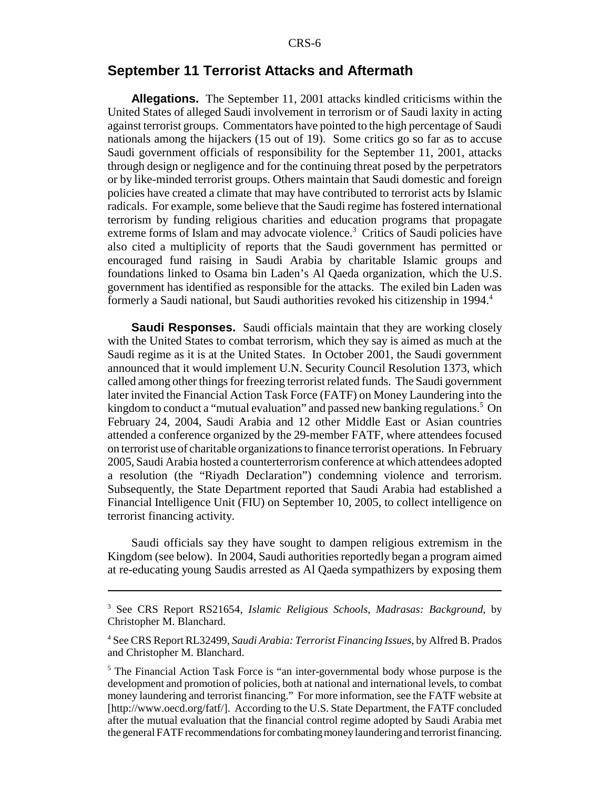### **September 11 Terrorist Attacks and Aftermath**

**Allegations.** The September 11, 2001 attacks kindled criticisms within the United States of alleged Saudi involvement in terrorism or of Saudi laxity in acting against terrorist groups. Commentators have pointed to the high percentage of Saudi nationals among the hijackers (15 out of 19). Some critics go so far as to accuse Saudi government officials of responsibility for the September 11, 2001, attacks through design or negligence and for the continuing threat posed by the perpetrators or by like-minded terrorist groups. Others maintain that Saudi domestic and foreign policies have created a climate that may have contributed to terrorist acts by Islamic radicals. For example, some believe that the Saudi regime has fostered international terrorism by funding religious charities and education programs that propagate extreme forms of Islam and may advocate violence.<sup>3</sup> Critics of Saudi policies have also cited a multiplicity of reports that the Saudi government has permitted or encouraged fund raising in Saudi Arabia by charitable Islamic groups and foundations linked to Osama bin Laden's Al Qaeda organization, which the U.S. government has identified as responsible for the attacks. The exiled bin Laden was formerly a Saudi national, but Saudi authorities revoked his citizenship in 1994.<sup>4</sup>

**Saudi Responses.** Saudi officials maintain that they are working closely with the United States to combat terrorism, which they say is aimed as much at the Saudi regime as it is at the United States. In October 2001, the Saudi government announced that it would implement U.N. Security Council Resolution 1373, which called among other things for freezing terrorist related funds. The Saudi government later invited the Financial Action Task Force (FATF) on Money Laundering into the kingdom to conduct a "mutual evaluation" and passed new banking regulations.<sup>5</sup> On February 24, 2004, Saudi Arabia and 12 other Middle East or Asian countries attended a conference organized by the 29-member FATF, where attendees focused on terrorist use of charitable organizations to finance terrorist operations. In February 2005, Saudi Arabia hosted a counterterrorism conference at which attendees adopted a resolution (the "Riyadh Declaration") condemning violence and terrorism. Subsequently, the State Department reported that Saudi Arabia had established a Financial Intelligence Unit (FIU) on September 10, 2005, to collect intelligence on terrorist financing activity.

Saudi officials say they have sought to dampen religious extremism in the Kingdom (see below). In 2004, Saudi authorities reportedly began a program aimed at re-educating young Saudis arrested as Al Qaeda sympathizers by exposing them

<sup>3</sup> See CRS Report RS21654, *Islamic Religious Schools, Madrasas: Background*, by Christopher M. Blanchard.

<sup>4</sup> See CRS Report RL32499, *Saudi Arabia: Terrorist Financing Issues*, by Alfred B. Prados and Christopher M. Blanchard.

<sup>&</sup>lt;sup>5</sup> The Financial Action Task Force is "an inter-governmental body whose purpose is the development and promotion of policies, both at national and international levels, to combat money laundering and terrorist financing." For more information, see the FATF website at [http://www.oecd.org/fatf/]. According to the U.S. State Department, the FATF concluded after the mutual evaluation that the financial control regime adopted by Saudi Arabia met the general FATF recommendations for combating money laundering and terrorist financing.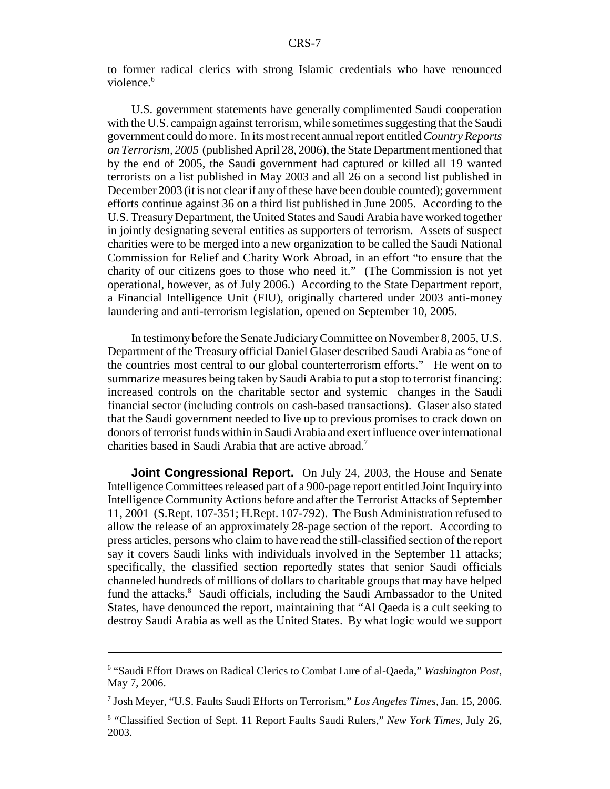to former radical clerics with strong Islamic credentials who have renounced violence.<sup>6</sup>

U.S. government statements have generally complimented Saudi cooperation with the U.S. campaign against terrorism, while sometimes suggesting that the Saudi government could do more. In its most recent annual report entitled *Country Reports on Terrorism, 2005* (published April 28, 2006), the State Department mentioned that by the end of 2005, the Saudi government had captured or killed all 19 wanted terrorists on a list published in May 2003 and all 26 on a second list published in December 2003 (it is not clear if any of these have been double counted); government efforts continue against 36 on a third list published in June 2005. According to the U.S. Treasury Department, the United States and Saudi Arabia have worked together in jointly designating several entities as supporters of terrorism. Assets of suspect charities were to be merged into a new organization to be called the Saudi National Commission for Relief and Charity Work Abroad, in an effort "to ensure that the charity of our citizens goes to those who need it." (The Commission is not yet operational, however, as of July 2006.) According to the State Department report, a Financial Intelligence Unit (FIU), originally chartered under 2003 anti-money laundering and anti-terrorism legislation, opened on September 10, 2005.

In testimony before the Senate Judiciary Committee on November 8, 2005, U.S. Department of the Treasury official Daniel Glaser described Saudi Arabia as "one of the countries most central to our global counterterrorism efforts." He went on to summarize measures being taken by Saudi Arabia to put a stop to terrorist financing: increased controls on the charitable sector and systemic changes in the Saudi financial sector (including controls on cash-based transactions). Glaser also stated that the Saudi government needed to live up to previous promises to crack down on donors of terrorist funds within in Saudi Arabia and exert influence over international charities based in Saudi Arabia that are active abroad.<sup>7</sup>

**Joint Congressional Report.** On July 24, 2003, the House and Senate Intelligence Committees released part of a 900-page report entitled Joint Inquiry into Intelligence Community Actions before and after the Terrorist Attacks of September 11, 2001 (S.Rept. 107-351; H.Rept. 107-792). The Bush Administration refused to allow the release of an approximately 28-page section of the report. According to press articles, persons who claim to have read the still-classified section of the report say it covers Saudi links with individuals involved in the September 11 attacks; specifically, the classified section reportedly states that senior Saudi officials channeled hundreds of millions of dollars to charitable groups that may have helped fund the attacks.<sup>8</sup> Saudi officials, including the Saudi Ambassador to the United States, have denounced the report, maintaining that "Al Qaeda is a cult seeking to destroy Saudi Arabia as well as the United States. By what logic would we support

<sup>6</sup> "Saudi Effort Draws on Radical Clerics to Combat Lure of al-Qaeda," *Washington Post*, May 7, 2006.

<sup>7</sup> Josh Meyer, "U.S. Faults Saudi Efforts on Terrorism," *Los Angeles Times*, Jan. 15, 2006.

<sup>8</sup> "Classified Section of Sept. 11 Report Faults Saudi Rulers," *New York Times*, July 26, 2003.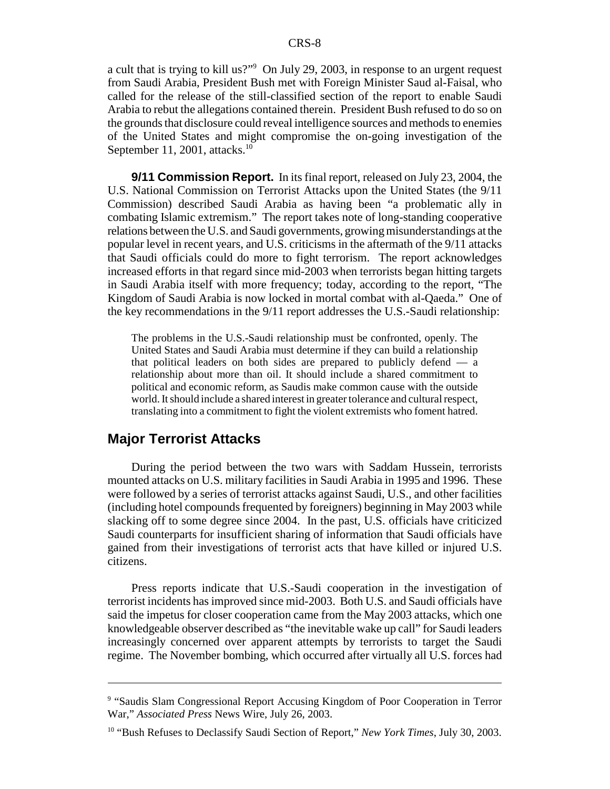a cult that is trying to kill us?"<sup>9</sup> On July 29, 2003, in response to an urgent request from Saudi Arabia, President Bush met with Foreign Minister Saud al-Faisal, who called for the release of the still-classified section of the report to enable Saudi Arabia to rebut the allegations contained therein. President Bush refused to do so on the grounds that disclosure could reveal intelligence sources and methods to enemies of the United States and might compromise the on-going investigation of the September 11, 2001, attacks. $10$ 

**9/11 Commission Report.** In its final report, released on July 23, 2004, the U.S. National Commission on Terrorist Attacks upon the United States (the 9/11 Commission) described Saudi Arabia as having been "a problematic ally in combating Islamic extremism." The report takes note of long-standing cooperative relations between the U.S. and Saudi governments, growing misunderstandings at the popular level in recent years, and U.S. criticisms in the aftermath of the 9/11 attacks that Saudi officials could do more to fight terrorism. The report acknowledges increased efforts in that regard since mid-2003 when terrorists began hitting targets in Saudi Arabia itself with more frequency; today, according to the report, "The Kingdom of Saudi Arabia is now locked in mortal combat with al-Qaeda." One of the key recommendations in the 9/11 report addresses the U.S.-Saudi relationship:

The problems in the U.S.-Saudi relationship must be confronted, openly. The United States and Saudi Arabia must determine if they can build a relationship that political leaders on both sides are prepared to publicly defend — a relationship about more than oil. It should include a shared commitment to political and economic reform, as Saudis make common cause with the outside world. It should include a shared interest in greater tolerance and cultural respect, translating into a commitment to fight the violent extremists who foment hatred.

### **Major Terrorist Attacks**

During the period between the two wars with Saddam Hussein, terrorists mounted attacks on U.S. military facilities in Saudi Arabia in 1995 and 1996. These were followed by a series of terrorist attacks against Saudi, U.S., and other facilities (including hotel compounds frequented by foreigners) beginning in May 2003 while slacking off to some degree since 2004. In the past, U.S. officials have criticized Saudi counterparts for insufficient sharing of information that Saudi officials have gained from their investigations of terrorist acts that have killed or injured U.S. citizens.

Press reports indicate that U.S.-Saudi cooperation in the investigation of terrorist incidents has improved since mid-2003. Both U.S. and Saudi officials have said the impetus for closer cooperation came from the May 2003 attacks, which one knowledgeable observer described as "the inevitable wake up call" for Saudi leaders increasingly concerned over apparent attempts by terrorists to target the Saudi regime. The November bombing, which occurred after virtually all U.S. forces had

<sup>&</sup>lt;sup>9</sup> "Saudis Slam Congressional Report Accusing Kingdom of Poor Cooperation in Terror War," *Associated Press* News Wire, July 26, 2003.

<sup>10 &</sup>quot;Bush Refuses to Declassify Saudi Section of Report," *New York Times*, July 30, 2003.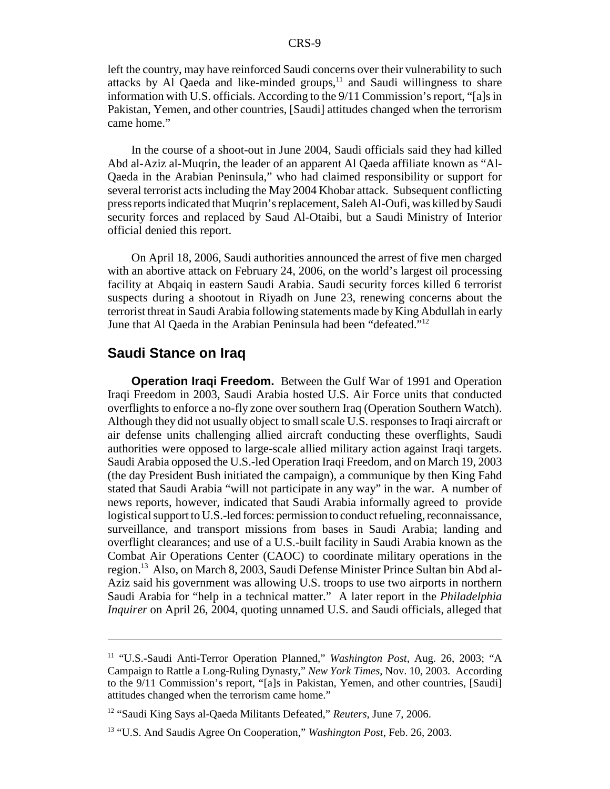left the country, may have reinforced Saudi concerns over their vulnerability to such attacks by Al Qaeda and like-minded groups, $11$  and Saudi willingness to share information with U.S. officials. According to the 9/11 Commission's report, "[a]s in Pakistan, Yemen, and other countries, [Saudi] attitudes changed when the terrorism came home."

In the course of a shoot-out in June 2004, Saudi officials said they had killed Abd al-Aziz al-Muqrin, the leader of an apparent Al Qaeda affiliate known as "Al-Qaeda in the Arabian Peninsula," who had claimed responsibility or support for several terrorist acts including the May 2004 Khobar attack. Subsequent conflicting press reports indicated that Muqrin's replacement, Saleh Al-Oufi, was killed by Saudi security forces and replaced by Saud Al-Otaibi, but a Saudi Ministry of Interior official denied this report.

On April 18, 2006, Saudi authorities announced the arrest of five men charged with an abortive attack on February 24, 2006, on the world's largest oil processing facility at Abqaiq in eastern Saudi Arabia. Saudi security forces killed 6 terrorist suspects during a shootout in Riyadh on June 23, renewing concerns about the terrorist threat in Saudi Arabia following statements made by King Abdullah in early June that Al Qaeda in the Arabian Peninsula had been "defeated."12

#### **Saudi Stance on Iraq**

**Operation Iraqi Freedom.** Between the Gulf War of 1991 and Operation Iraqi Freedom in 2003, Saudi Arabia hosted U.S. Air Force units that conducted overflights to enforce a no-fly zone over southern Iraq (Operation Southern Watch). Although they did not usually object to small scale U.S. responses to Iraqi aircraft or air defense units challenging allied aircraft conducting these overflights, Saudi authorities were opposed to large-scale allied military action against Iraqi targets. Saudi Arabia opposed the U.S.-led Operation Iraqi Freedom, and on March 19, 2003 (the day President Bush initiated the campaign), a communique by then King Fahd stated that Saudi Arabia "will not participate in any way" in the war. A number of news reports, however, indicated that Saudi Arabia informally agreed to provide logistical support to U.S.-led forces: permission to conduct refueling, reconnaissance, surveillance, and transport missions from bases in Saudi Arabia; landing and overflight clearances; and use of a U.S.-built facility in Saudi Arabia known as the Combat Air Operations Center (CAOC) to coordinate military operations in the region.13 Also, on March 8, 2003, Saudi Defense Minister Prince Sultan bin Abd al-Aziz said his government was allowing U.S. troops to use two airports in northern Saudi Arabia for "help in a technical matter." A later report in the *Philadelphia Inquirer* on April 26, 2004, quoting unnamed U.S. and Saudi officials, alleged that

<sup>&</sup>lt;sup>11</sup> "U.S.-Saudi Anti-Terror Operation Planned," *Washington Post*, Aug. 26, 2003; "A Campaign to Rattle a Long-Ruling Dynasty," *New York Times*, Nov. 10, 2003. According to the 9/11 Commission's report, "[a]s in Pakistan, Yemen, and other countries, [Saudi] attitudes changed when the terrorism came home."

<sup>12 &</sup>quot;Saudi King Says al-Qaeda Militants Defeated," *Reuters*, June 7, 2006.

<sup>13 &</sup>quot;U.S. And Saudis Agree On Cooperation," *Washington Post*, Feb. 26, 2003.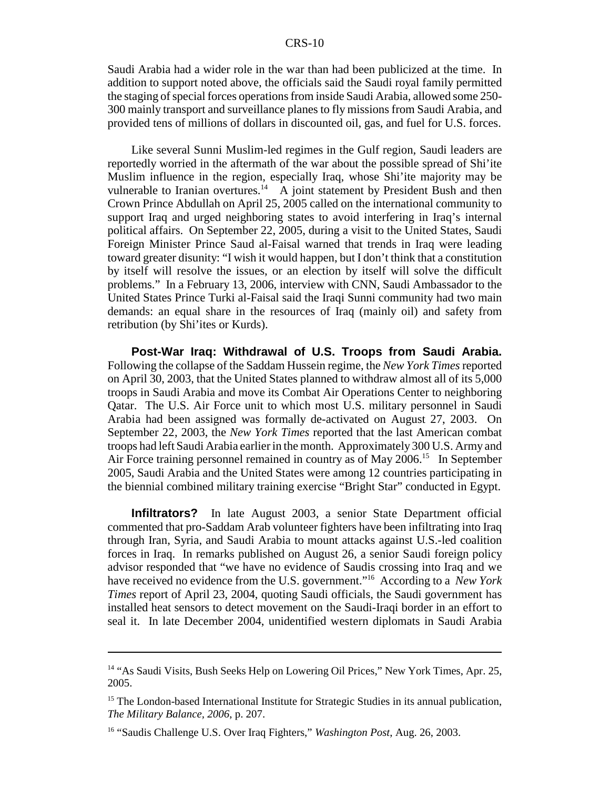Saudi Arabia had a wider role in the war than had been publicized at the time. In addition to support noted above, the officials said the Saudi royal family permitted the staging of special forces operations from inside Saudi Arabia, allowed some 250- 300 mainly transport and surveillance planes to fly missions from Saudi Arabia, and provided tens of millions of dollars in discounted oil, gas, and fuel for U.S. forces.

Like several Sunni Muslim-led regimes in the Gulf region, Saudi leaders are reportedly worried in the aftermath of the war about the possible spread of Shi'ite Muslim influence in the region, especially Iraq, whose Shi'ite majority may be vulnerable to Iranian overtures.<sup>14</sup> A joint statement by President Bush and then Crown Prince Abdullah on April 25, 2005 called on the international community to support Iraq and urged neighboring states to avoid interfering in Iraq's internal political affairs. On September 22, 2005, during a visit to the United States, Saudi Foreign Minister Prince Saud al-Faisal warned that trends in Iraq were leading toward greater disunity: "I wish it would happen, but I don't think that a constitution by itself will resolve the issues, or an election by itself will solve the difficult problems." In a February 13, 2006, interview with CNN, Saudi Ambassador to the United States Prince Turki al-Faisal said the Iraqi Sunni community had two main demands: an equal share in the resources of Iraq (mainly oil) and safety from retribution (by Shi'ites or Kurds).

**Post-War Iraq: Withdrawal of U.S. Troops from Saudi Arabia.** Following the collapse of the Saddam Hussein regime, the *New York Times* reported on April 30, 2003, that the United States planned to withdraw almost all of its 5,000 troops in Saudi Arabia and move its Combat Air Operations Center to neighboring Qatar. The U.S. Air Force unit to which most U.S. military personnel in Saudi Arabia had been assigned was formally de-activated on August 27, 2003. On September 22, 2003, the *New York Times* reported that the last American combat troops had left Saudi Arabia earlier in the month. Approximately 300 U.S. Army and Air Force training personnel remained in country as of May 2006.<sup>15</sup> In September 2005, Saudi Arabia and the United States were among 12 countries participating in the biennial combined military training exercise "Bright Star" conducted in Egypt.

**Infiltrators?** In late August 2003, a senior State Department official commented that pro-Saddam Arab volunteer fighters have been infiltrating into Iraq through Iran, Syria, and Saudi Arabia to mount attacks against U.S.-led coalition forces in Iraq. In remarks published on August 26, a senior Saudi foreign policy advisor responded that "we have no evidence of Saudis crossing into Iraq and we have received no evidence from the U.S. government."16 According to a *New York Times* report of April 23, 2004, quoting Saudi officials, the Saudi government has installed heat sensors to detect movement on the Saudi-Iraqi border in an effort to seal it. In late December 2004, unidentified western diplomats in Saudi Arabia

<sup>&</sup>lt;sup>14</sup> "As Saudi Visits, Bush Seeks Help on Lowering Oil Prices," New York Times, Apr. 25, 2005.

<sup>&</sup>lt;sup>15</sup> The London-based International Institute for Strategic Studies in its annual publication, *The Military Balance, 2006*, p. 207.

<sup>16 &</sup>quot;Saudis Challenge U.S. Over Iraq Fighters," *Washington Post*, Aug. 26, 2003.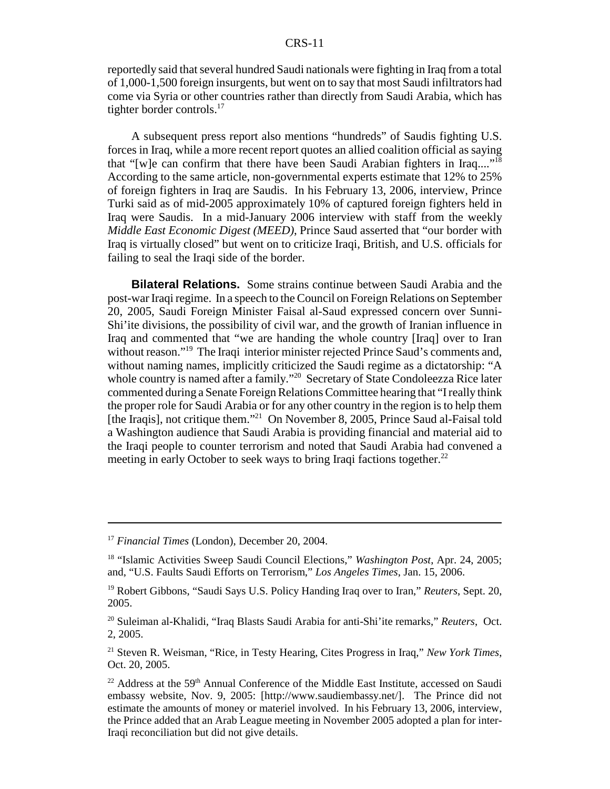reportedly said that several hundred Saudi nationals were fighting in Iraq from a total of 1,000-1,500 foreign insurgents, but went on to say that most Saudi infiltrators had come via Syria or other countries rather than directly from Saudi Arabia, which has tighter border controls.<sup>17</sup>

A subsequent press report also mentions "hundreds" of Saudis fighting U.S. forces in Iraq, while a more recent report quotes an allied coalition official as saying that "[w]e can confirm that there have been Saudi Arabian fighters in Iraq...."<sup>18</sup> According to the same article, non-governmental experts estimate that 12% to 25% of foreign fighters in Iraq are Saudis. In his February 13, 2006, interview, Prince Turki said as of mid-2005 approximately 10% of captured foreign fighters held in Iraq were Saudis. In a mid-January 2006 interview with staff from the weekly *Middle East Economic Digest (MEED)*, Prince Saud asserted that "our border with Iraq is virtually closed" but went on to criticize Iraqi, British, and U.S. officials for failing to seal the Iraqi side of the border.

**Bilateral Relations.** Some strains continue between Saudi Arabia and the post-war Iraqi regime. In a speech to the Council on Foreign Relations on September 20, 2005, Saudi Foreign Minister Faisal al-Saud expressed concern over Sunni-Shi'ite divisions, the possibility of civil war, and the growth of Iranian influence in Iraq and commented that "we are handing the whole country [Iraq] over to Iran without reason."<sup>19</sup> The Iraqi interior minister rejected Prince Saud's comments and, without naming names, implicitly criticized the Saudi regime as a dictatorship: "A whole country is named after a family."<sup>20</sup> Secretary of State Condoleezza Rice later commented during a Senate Foreign Relations Committee hearing that "I really think the proper role for Saudi Arabia or for any other country in the region is to help them [the Iraqis], not critique them."<sup>21</sup> On November 8, 2005, Prince Saud al-Faisal told a Washington audience that Saudi Arabia is providing financial and material aid to the Iraqi people to counter terrorism and noted that Saudi Arabia had convened a meeting in early October to seek ways to bring Iraqi factions together.<sup>22</sup>

<sup>17</sup> *Financial Times* (London), December 20, 2004.

<sup>18 &</sup>quot;Islamic Activities Sweep Saudi Council Elections," *Washington Post*, Apr. 24, 2005; and, "U.S. Faults Saudi Efforts on Terrorism," *Los Angeles Times*, Jan. 15, 2006.

<sup>19</sup> Robert Gibbons, "Saudi Says U.S. Policy Handing Iraq over to Iran," *Reuters*, Sept. 20, 2005.

<sup>20</sup> Suleiman al-Khalidi, "Iraq Blasts Saudi Arabia for anti-Shi'ite remarks," *Reuters*, Oct. 2, 2005.

<sup>21</sup> Steven R. Weisman, "Rice, in Testy Hearing, Cites Progress in Iraq," *New York Times*, Oct. 20, 2005.

 $22$  Address at the 59<sup>th</sup> Annual Conference of the Middle East Institute, accessed on Saudi embassy website, Nov. 9, 2005: [http://www.saudiembassy.net/]. The Prince did not estimate the amounts of money or materiel involved. In his February 13, 2006, interview, the Prince added that an Arab League meeting in November 2005 adopted a plan for inter-Iraqi reconciliation but did not give details.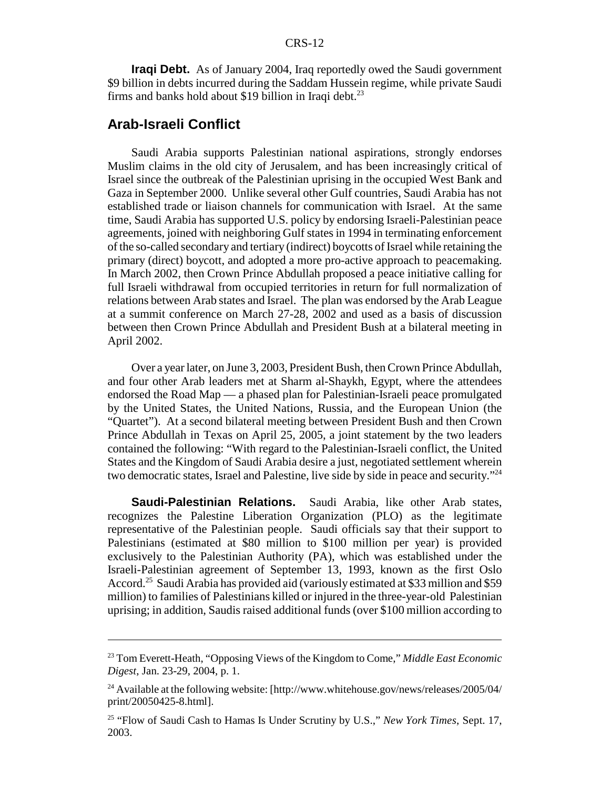**Iraqi Debt.** As of January 2004, Iraq reportedly owed the Saudi government \$9 billion in debts incurred during the Saddam Hussein regime, while private Saudi firms and banks hold about \$19 billion in Iraqi debt. $^{23}$ 

### **Arab-Israeli Conflict**

Saudi Arabia supports Palestinian national aspirations, strongly endorses Muslim claims in the old city of Jerusalem, and has been increasingly critical of Israel since the outbreak of the Palestinian uprising in the occupied West Bank and Gaza in September 2000. Unlike several other Gulf countries, Saudi Arabia has not established trade or liaison channels for communication with Israel. At the same time, Saudi Arabia has supported U.S. policy by endorsing Israeli-Palestinian peace agreements, joined with neighboring Gulf states in 1994 in terminating enforcement of the so-called secondary and tertiary (indirect) boycotts of Israel while retaining the primary (direct) boycott, and adopted a more pro-active approach to peacemaking. In March 2002, then Crown Prince Abdullah proposed a peace initiative calling for full Israeli withdrawal from occupied territories in return for full normalization of relations between Arab states and Israel. The plan was endorsed by the Arab League at a summit conference on March 27-28, 2002 and used as a basis of discussion between then Crown Prince Abdullah and President Bush at a bilateral meeting in April 2002.

Over a year later, on June 3, 2003, President Bush, then Crown Prince Abdullah, and four other Arab leaders met at Sharm al-Shaykh, Egypt, where the attendees endorsed the Road Map — a phased plan for Palestinian-Israeli peace promulgated by the United States, the United Nations, Russia, and the European Union (the "Quartet"). At a second bilateral meeting between President Bush and then Crown Prince Abdullah in Texas on April 25, 2005, a joint statement by the two leaders contained the following: "With regard to the Palestinian-Israeli conflict, the United States and the Kingdom of Saudi Arabia desire a just, negotiated settlement wherein two democratic states, Israel and Palestine, live side by side in peace and security."24

**Saudi-Palestinian Relations.** Saudi Arabia, like other Arab states, recognizes the Palestine Liberation Organization (PLO) as the legitimate representative of the Palestinian people. Saudi officials say that their support to Palestinians (estimated at \$80 million to \$100 million per year) is provided exclusively to the Palestinian Authority (PA), which was established under the Israeli-Palestinian agreement of September 13, 1993, known as the first Oslo Accord.<sup>25</sup> Saudi Arabia has provided aid (variously estimated at \$33 million and \$59 million) to families of Palestinians killed or injured in the three-year-old Palestinian uprising; in addition, Saudis raised additional funds (over \$100 million according to

<sup>23</sup> Tom Everett-Heath, "Opposing Views of the Kingdom to Come," *Middle East Economic Digest*, Jan. 23-29, 2004, p. 1.

<sup>&</sup>lt;sup>24</sup> Available at the following website:  $[http://www.whitehouse.gov/news/release/2005/04/$ print/20050425-8.html].

<sup>25 &</sup>quot;Flow of Saudi Cash to Hamas Is Under Scrutiny by U.S.," *New York Times*, Sept. 17, 2003.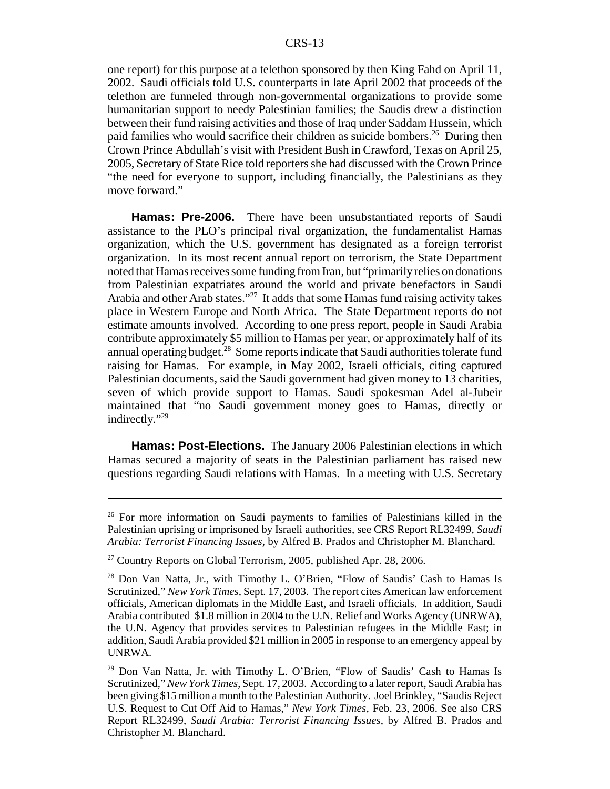one report) for this purpose at a telethon sponsored by then King Fahd on April 11, 2002. Saudi officials told U.S. counterparts in late April 2002 that proceeds of the telethon are funneled through non-governmental organizations to provide some humanitarian support to needy Palestinian families; the Saudis drew a distinction between their fund raising activities and those of Iraq under Saddam Hussein, which paid families who would sacrifice their children as suicide bombers.<sup>26</sup> During then Crown Prince Abdullah's visit with President Bush in Crawford, Texas on April 25, 2005, Secretary of State Rice told reporters she had discussed with the Crown Prince "the need for everyone to support, including financially, the Palestinians as they move forward."

**Hamas: Pre-2006.** There have been unsubstantiated reports of Saudi assistance to the PLO's principal rival organization, the fundamentalist Hamas organization, which the U.S. government has designated as a foreign terrorist organization. In its most recent annual report on terrorism, the State Department noted that Hamas receives some funding from Iran, but "primarily relies on donations from Palestinian expatriates around the world and private benefactors in Saudi Arabia and other Arab states."27 It adds that some Hamas fund raising activity takes place in Western Europe and North Africa. The State Department reports do not estimate amounts involved. According to one press report, people in Saudi Arabia contribute approximately \$5 million to Hamas per year, or approximately half of its annual operating budget.28 Some reports indicate that Saudi authorities tolerate fund raising for Hamas. For example, in May 2002, Israeli officials, citing captured Palestinian documents, said the Saudi government had given money to 13 charities, seven of which provide support to Hamas. Saudi spokesman Adel al-Jubeir maintained that "no Saudi government money goes to Hamas, directly or indirectly."<sup>29</sup>

**Hamas: Post-Elections.** The January 2006 Palestinian elections in which Hamas secured a majority of seats in the Palestinian parliament has raised new questions regarding Saudi relations with Hamas. In a meeting with U.S. Secretary

<sup>&</sup>lt;sup>26</sup> For more information on Saudi payments to families of Palestinians killed in the Palestinian uprising or imprisoned by Israeli authorities, see CRS Report RL32499, *Saudi Arabia: Terrorist Financing Issues*, by Alfred B. Prados and Christopher M. Blanchard.

 $27$  Country Reports on Global Terrorism, 2005, published Apr. 28, 2006.

<sup>28</sup> Don Van Natta, Jr., with Timothy L. O'Brien, "Flow of Saudis' Cash to Hamas Is Scrutinized," *New York Times*, Sept. 17, 2003. The report cites American law enforcement officials, American diplomats in the Middle East, and Israeli officials. In addition, Saudi Arabia contributed \$1.8 million in 2004 to the U.N. Relief and Works Agency (UNRWA), the U.N. Agency that provides services to Palestinian refugees in the Middle East; in addition, Saudi Arabia provided \$21 million in 2005 in response to an emergency appeal by UNRWA.

 $29$  Don Van Natta, Jr. with Timothy L. O'Brien, "Flow of Saudis' Cash to Hamas Is Scrutinized," *New York Times*, Sept. 17, 2003. According to a later report, Saudi Arabia has been giving \$15 million a month to the Palestinian Authority. Joel Brinkley, "Saudis Reject U.S. Request to Cut Off Aid to Hamas," *New York Times*, Feb. 23, 2006. See also CRS Report RL32499, *Saudi Arabia: Terrorist Financing Issues*, by Alfred B. Prados and Christopher M. Blanchard.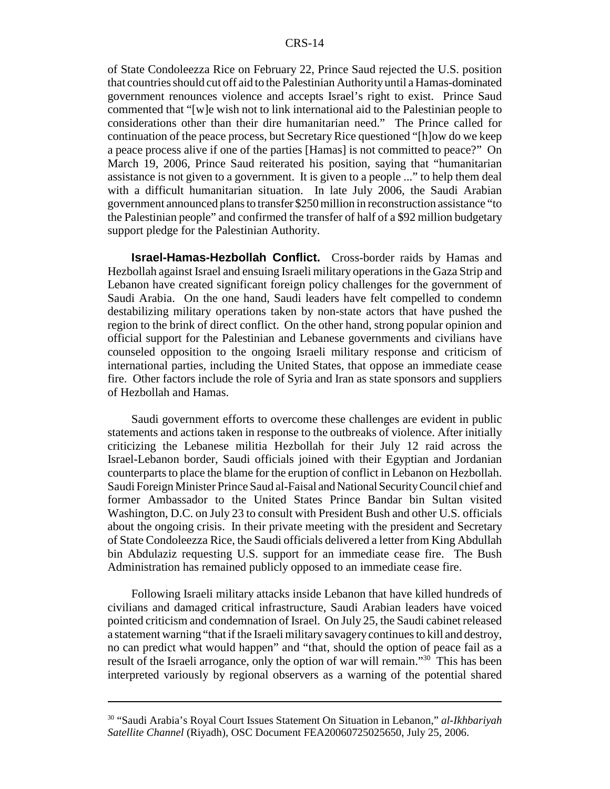of State Condoleezza Rice on February 22, Prince Saud rejected the U.S. position that countries should cut off aid to the Palestinian Authority until a Hamas-dominated government renounces violence and accepts Israel's right to exist. Prince Saud commented that "[w]e wish not to link international aid to the Palestinian people to considerations other than their dire humanitarian need." The Prince called for continuation of the peace process, but Secretary Rice questioned "[h]ow do we keep a peace process alive if one of the parties [Hamas] is not committed to peace?" On March 19, 2006, Prince Saud reiterated his position, saying that "humanitarian assistance is not given to a government. It is given to a people ..." to help them deal with a difficult humanitarian situation. In late July 2006, the Saudi Arabian government announced plans to transfer \$250 million in reconstruction assistance "to the Palestinian people" and confirmed the transfer of half of a \$92 million budgetary support pledge for the Palestinian Authority.

**Israel-Hamas-Hezbollah Conflict.** Cross-border raids by Hamas and Hezbollah against Israel and ensuing Israeli military operations in the Gaza Strip and Lebanon have created significant foreign policy challenges for the government of Saudi Arabia. On the one hand, Saudi leaders have felt compelled to condemn destabilizing military operations taken by non-state actors that have pushed the region to the brink of direct conflict. On the other hand, strong popular opinion and official support for the Palestinian and Lebanese governments and civilians have counseled opposition to the ongoing Israeli military response and criticism of international parties, including the United States, that oppose an immediate cease fire. Other factors include the role of Syria and Iran as state sponsors and suppliers of Hezbollah and Hamas.

Saudi government efforts to overcome these challenges are evident in public statements and actions taken in response to the outbreaks of violence. After initially criticizing the Lebanese militia Hezbollah for their July 12 raid across the Israel-Lebanon border, Saudi officials joined with their Egyptian and Jordanian counterparts to place the blame for the eruption of conflict in Lebanon on Hezbollah. Saudi Foreign Minister Prince Saud al-Faisal and National Security Council chief and former Ambassador to the United States Prince Bandar bin Sultan visited Washington, D.C. on July 23 to consult with President Bush and other U.S. officials about the ongoing crisis. In their private meeting with the president and Secretary of State Condoleezza Rice, the Saudi officials delivered a letter from King Abdullah bin Abdulaziz requesting U.S. support for an immediate cease fire. The Bush Administration has remained publicly opposed to an immediate cease fire.

Following Israeli military attacks inside Lebanon that have killed hundreds of civilians and damaged critical infrastructure, Saudi Arabian leaders have voiced pointed criticism and condemnation of Israel. On July 25, the Saudi cabinet released a statement warning "that if the Israeli military savagery continues to kill and destroy, no can predict what would happen" and "that, should the option of peace fail as a result of the Israeli arrogance, only the option of war will remain."30 This has been interpreted variously by regional observers as a warning of the potential shared

<sup>30 &</sup>quot;Saudi Arabia's Royal Court Issues Statement On Situation in Lebanon," *al-Ikhbariyah Satellite Channel* (Riyadh), OSC Document FEA20060725025650, July 25, 2006.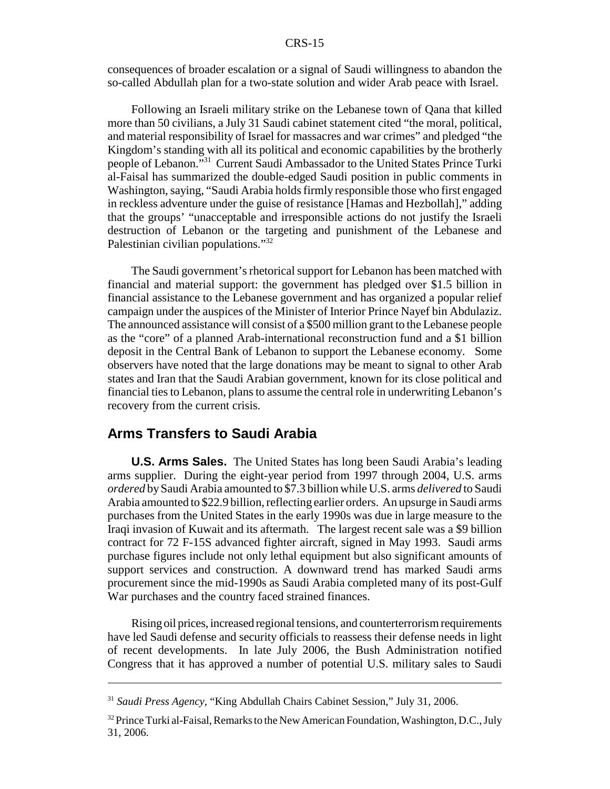consequences of broader escalation or a signal of Saudi willingness to abandon the so-called Abdullah plan for a two-state solution and wider Arab peace with Israel.

Following an Israeli military strike on the Lebanese town of Qana that killed more than 50 civilians, a July 31 Saudi cabinet statement cited "the moral, political, and material responsibility of Israel for massacres and war crimes" and pledged "the Kingdom's standing with all its political and economic capabilities by the brotherly people of Lebanon."31 Current Saudi Ambassador to the United States Prince Turki al-Faisal has summarized the double-edged Saudi position in public comments in Washington, saying, "Saudi Arabia holds firmly responsible those who first engaged in reckless adventure under the guise of resistance [Hamas and Hezbollah]," adding that the groups' "unacceptable and irresponsible actions do not justify the Israeli destruction of Lebanon or the targeting and punishment of the Lebanese and Palestinian civilian populations."<sup>32</sup>

The Saudi government's rhetorical support for Lebanon has been matched with financial and material support: the government has pledged over \$1.5 billion in financial assistance to the Lebanese government and has organized a popular relief campaign under the auspices of the Minister of Interior Prince Nayef bin Abdulaziz. The announced assistance will consist of a \$500 million grant to the Lebanese people as the "core" of a planned Arab-international reconstruction fund and a \$1 billion deposit in the Central Bank of Lebanon to support the Lebanese economy. Some observers have noted that the large donations may be meant to signal to other Arab states and Iran that the Saudi Arabian government, known for its close political and financial ties to Lebanon, plans to assume the central role in underwriting Lebanon's recovery from the current crisis.

### **Arms Transfers to Saudi Arabia**

**U.S. Arms Sales.** The United States has long been Saudi Arabia's leading arms supplier. During the eight-year period from 1997 through 2004, U.S. arms *ordered* by Saudi Arabia amounted to \$7.3 billion while U.S. arms *delivered* to Saudi Arabia amounted to \$22.9 billion, reflecting earlier orders. An upsurge in Saudi arms purchases from the United States in the early 1990s was due in large measure to the Iraqi invasion of Kuwait and its aftermath. The largest recent sale was a \$9 billion contract for 72 F-15S advanced fighter aircraft, signed in May 1993. Saudi arms purchase figures include not only lethal equipment but also significant amounts of support services and construction. A downward trend has marked Saudi arms procurement since the mid-1990s as Saudi Arabia completed many of its post-Gulf War purchases and the country faced strained finances.

Rising oil prices, increased regional tensions, and counterterrorism requirements have led Saudi defense and security officials to reassess their defense needs in light of recent developments. In late July 2006, the Bush Administration notified Congress that it has approved a number of potential U.S. military sales to Saudi

<sup>31</sup> *Saudi Press Agency*, "King Abdullah Chairs Cabinet Session," July 31, 2006.

 $32$  Prince Turki al-Faisal, Remarks to the New American Foundation, Washington, D.C., July 31, 2006.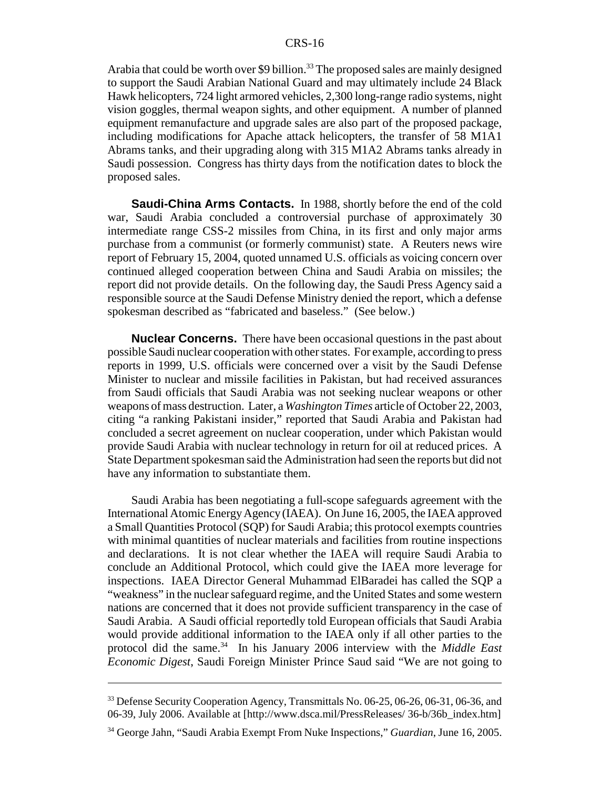Arabia that could be worth over \$9 billion.<sup>33</sup> The proposed sales are mainly designed to support the Saudi Arabian National Guard and may ultimately include 24 Black Hawk helicopters, 724 light armored vehicles, 2,300 long-range radio systems, night vision goggles, thermal weapon sights, and other equipment. A number of planned equipment remanufacture and upgrade sales are also part of the proposed package, including modifications for Apache attack helicopters, the transfer of 58 M1A1 Abrams tanks, and their upgrading along with 315 M1A2 Abrams tanks already in Saudi possession. Congress has thirty days from the notification dates to block the proposed sales.

**Saudi-China Arms Contacts.** In 1988, shortly before the end of the cold war, Saudi Arabia concluded a controversial purchase of approximately 30 intermediate range CSS-2 missiles from China, in its first and only major arms purchase from a communist (or formerly communist) state. A Reuters news wire report of February 15, 2004, quoted unnamed U.S. officials as voicing concern over continued alleged cooperation between China and Saudi Arabia on missiles; the report did not provide details. On the following day, the Saudi Press Agency said a responsible source at the Saudi Defense Ministry denied the report, which a defense spokesman described as "fabricated and baseless." (See below.)

**Nuclear Concerns.** There have been occasional questions in the past about possible Saudi nuclear cooperation with other states. For example, according to press reports in 1999, U.S. officials were concerned over a visit by the Saudi Defense Minister to nuclear and missile facilities in Pakistan, but had received assurances from Saudi officials that Saudi Arabia was not seeking nuclear weapons or other weapons of mass destruction. Later, a *Washington Times* article of October 22, 2003, citing "a ranking Pakistani insider," reported that Saudi Arabia and Pakistan had concluded a secret agreement on nuclear cooperation, under which Pakistan would provide Saudi Arabia with nuclear technology in return for oil at reduced prices. A State Department spokesman said the Administration had seen the reports but did not have any information to substantiate them.

Saudi Arabia has been negotiating a full-scope safeguards agreement with the International Atomic Energy Agency (IAEA). On June 16, 2005, the IAEA approved a Small Quantities Protocol (SQP) for Saudi Arabia; this protocol exempts countries with minimal quantities of nuclear materials and facilities from routine inspections and declarations. It is not clear whether the IAEA will require Saudi Arabia to conclude an Additional Protocol, which could give the IAEA more leverage for inspections. IAEA Director General Muhammad ElBaradei has called the SQP a "weakness" in the nuclear safeguard regime, and the United States and some western nations are concerned that it does not provide sufficient transparency in the case of Saudi Arabia. A Saudi official reportedly told European officials that Saudi Arabia would provide additional information to the IAEA only if all other parties to the protocol did the same.<sup>34</sup> In his January 2006 interview with the *Middle East Economic Digest*, Saudi Foreign Minister Prince Saud said "We are not going to

<sup>&</sup>lt;sup>33</sup> Defense Security Cooperation Agency, Transmittals No. 06-25, 06-26, 06-31, 06-36, and 06-39, July 2006. Available at [http://www.dsca.mil/PressReleases/ 36-b/36b\_index.htm]

<sup>34</sup> George Jahn, "Saudi Arabia Exempt From Nuke Inspections," *Guardian*, June 16, 2005.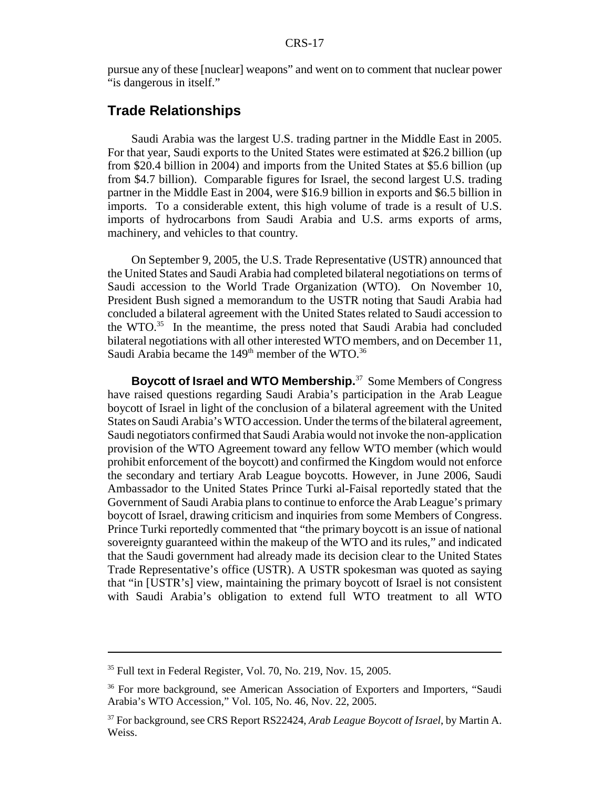pursue any of these [nuclear] weapons" and went on to comment that nuclear power "is dangerous in itself."

### **Trade Relationships**

Saudi Arabia was the largest U.S. trading partner in the Middle East in 2005. For that year, Saudi exports to the United States were estimated at \$26.2 billion (up from \$20.4 billion in 2004) and imports from the United States at \$5.6 billion (up from \$4.7 billion). Comparable figures for Israel, the second largest U.S. trading partner in the Middle East in 2004, were \$16.9 billion in exports and \$6.5 billion in imports. To a considerable extent, this high volume of trade is a result of U.S. imports of hydrocarbons from Saudi Arabia and U.S. arms exports of arms, machinery, and vehicles to that country.

On September 9, 2005, the U.S. Trade Representative (USTR) announced that the United States and Saudi Arabia had completed bilateral negotiations on terms of Saudi accession to the World Trade Organization (WTO). On November 10, President Bush signed a memorandum to the USTR noting that Saudi Arabia had concluded a bilateral agreement with the United States related to Saudi accession to the WTO. $35$  In the meantime, the press noted that Saudi Arabia had concluded bilateral negotiations with all other interested WTO members, and on December 11, Saudi Arabia became the  $149<sup>th</sup>$  member of the WTO.<sup>36</sup>

**Boycott of Israel and WTO Membership.**37 Some Members of Congress have raised questions regarding Saudi Arabia's participation in the Arab League boycott of Israel in light of the conclusion of a bilateral agreement with the United States on Saudi Arabia's WTO accession. Under the terms of the bilateral agreement, Saudi negotiators confirmed that Saudi Arabia would not invoke the non-application provision of the WTO Agreement toward any fellow WTO member (which would prohibit enforcement of the boycott) and confirmed the Kingdom would not enforce the secondary and tertiary Arab League boycotts. However, in June 2006, Saudi Ambassador to the United States Prince Turki al-Faisal reportedly stated that the Government of Saudi Arabia plans to continue to enforce the Arab League's primary boycott of Israel, drawing criticism and inquiries from some Members of Congress. Prince Turki reportedly commented that "the primary boycott is an issue of national sovereignty guaranteed within the makeup of the WTO and its rules," and indicated that the Saudi government had already made its decision clear to the United States Trade Representative's office (USTR). A USTR spokesman was quoted as saying that "in [USTR's] view, maintaining the primary boycott of Israel is not consistent with Saudi Arabia's obligation to extend full WTO treatment to all WTO

<sup>35</sup> Full text in Federal Register, Vol. 70, No. 219, Nov. 15, 2005.

<sup>&</sup>lt;sup>36</sup> For more background, see American Association of Exporters and Importers, "Saudi Arabia's WTO Accession," Vol. 105, No. 46, Nov. 22, 2005.

<sup>37</sup> For background, see CRS Report RS22424, *Arab League Boycott of Israel*, by Martin A. Weiss.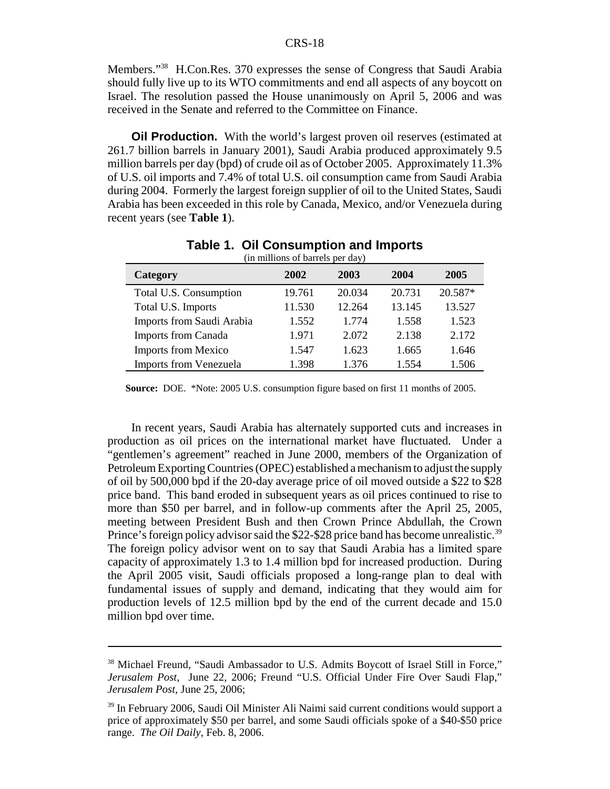Members."38 H.Con.Res. 370 expresses the sense of Congress that Saudi Arabia should fully live up to its WTO commitments and end all aspects of any boycott on Israel. The resolution passed the House unanimously on April 5, 2006 and was received in the Senate and referred to the Committee on Finance.

**Oil Production.** With the world's largest proven oil reserves (estimated at 261.7 billion barrels in January 2001), Saudi Arabia produced approximately 9.5 million barrels per day (bpd) of crude oil as of October 2005. Approximately 11.3% of U.S. oil imports and 7.4% of total U.S. oil consumption came from Saudi Arabia during 2004. Formerly the largest foreign supplier of oil to the United States, Saudi Arabia has been exceeded in this role by Canada, Mexico, and/or Venezuela during recent years (see **Table 1**).

| (in millions of barrels per day) |        |        |        |         |  |  |
|----------------------------------|--------|--------|--------|---------|--|--|
| Category                         | 2002   | 2003   | 2004   | 2005    |  |  |
| Total U.S. Consumption           | 19.761 | 20.034 | 20.731 | 20.587* |  |  |
| Total U.S. Imports               | 11.530 | 12.264 | 13.145 | 13.527  |  |  |
| Imports from Saudi Arabia        | 1.552  | 1.774  | 1.558  | 1.523   |  |  |
| <b>Imports from Canada</b>       | 1.971  | 2.072  | 2.138  | 2.172   |  |  |
| <b>Imports from Mexico</b>       | 1.547  | 1.623  | 1.665  | 1.646   |  |  |
| <b>Imports from Venezuela</b>    | 1.398  | 1.376  | 1.554  | 1.506   |  |  |

## **Table 1. Oil Consumption and Imports**

**Source:** DOE. \*Note: 2005 U.S. consumption figure based on first 11 months of 2005.

In recent years, Saudi Arabia has alternately supported cuts and increases in production as oil prices on the international market have fluctuated. Under a "gentlemen's agreement" reached in June 2000, members of the Organization of Petroleum Exporting Countries (OPEC) established a mechanism to adjust the supply of oil by 500,000 bpd if the 20-day average price of oil moved outside a \$22 to \$28 price band. This band eroded in subsequent years as oil prices continued to rise to more than \$50 per barrel, and in follow-up comments after the April 25, 2005, meeting between President Bush and then Crown Prince Abdullah, the Crown Prince's foreign policy advisor said the \$22-\$28 price band has become unrealistic.<sup>39</sup> The foreign policy advisor went on to say that Saudi Arabia has a limited spare capacity of approximately 1.3 to 1.4 million bpd for increased production. During the April 2005 visit, Saudi officials proposed a long-range plan to deal with fundamental issues of supply and demand, indicating that they would aim for production levels of 12.5 million bpd by the end of the current decade and 15.0 million bpd over time.

<sup>&</sup>lt;sup>38</sup> Michael Freund, "Saudi Ambassador to U.S. Admits Boycott of Israel Still in Force," *Jerusalem Post*, June 22, 2006; Freund "U.S. Official Under Fire Over Saudi Flap," *Jerusalem Post*, June 25, 2006;

<sup>39</sup> In February 2006, Saudi Oil Minister Ali Naimi said current conditions would support a price of approximately \$50 per barrel, and some Saudi officials spoke of a \$40-\$50 price range. *The Oil Daily*, Feb. 8, 2006.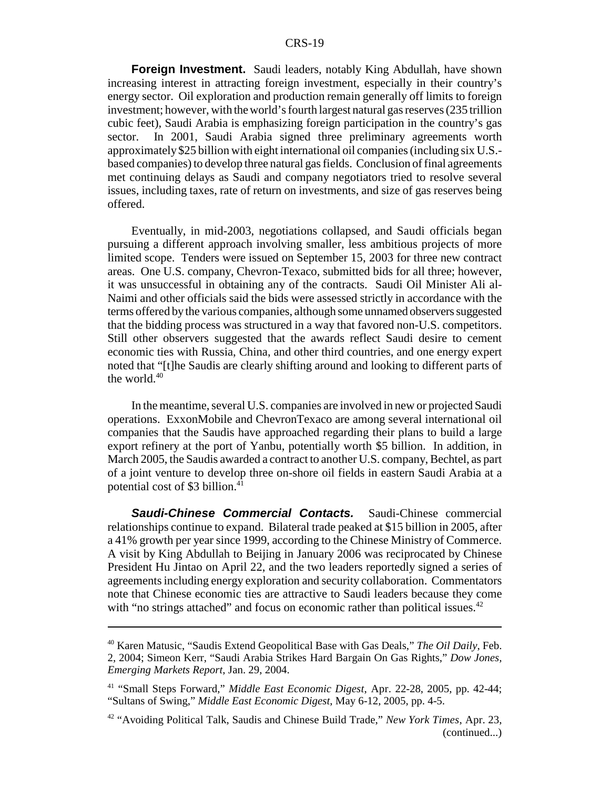**Foreign Investment.** Saudi leaders, notably King Abdullah, have shown increasing interest in attracting foreign investment, especially in their country's energy sector. Oil exploration and production remain generally off limits to foreign investment; however, with the world's fourth largest natural gas reserves (235 trillion cubic feet), Saudi Arabia is emphasizing foreign participation in the country's gas sector. In 2001, Saudi Arabia signed three preliminary agreements worth approximately \$25 billion with eight international oil companies (including six U.S. based companies) to develop three natural gas fields. Conclusion of final agreements met continuing delays as Saudi and company negotiators tried to resolve several issues, including taxes, rate of return on investments, and size of gas reserves being offered.

Eventually, in mid-2003, negotiations collapsed, and Saudi officials began pursuing a different approach involving smaller, less ambitious projects of more limited scope. Tenders were issued on September 15, 2003 for three new contract areas. One U.S. company, Chevron-Texaco, submitted bids for all three; however, it was unsuccessful in obtaining any of the contracts. Saudi Oil Minister Ali al-Naimi and other officials said the bids were assessed strictly in accordance with the terms offered by the various companies, although some unnamed observers suggested that the bidding process was structured in a way that favored non-U.S. competitors. Still other observers suggested that the awards reflect Saudi desire to cement economic ties with Russia, China, and other third countries, and one energy expert noted that "[t]he Saudis are clearly shifting around and looking to different parts of the world.<sup>40</sup>

In the meantime, several U.S. companies are involved in new or projected Saudi operations. ExxonMobile and ChevronTexaco are among several international oil companies that the Saudis have approached regarding their plans to build a large export refinery at the port of Yanbu, potentially worth \$5 billion. In addition, in March 2005, the Saudis awarded a contract to another U.S. company, Bechtel, as part of a joint venture to develop three on-shore oil fields in eastern Saudi Arabia at a potential cost of \$3 billion.<sup>41</sup>

*Saudi-Chinese Commercial Contacts.* Saudi-Chinese commercial relationships continue to expand. Bilateral trade peaked at \$15 billion in 2005, after a 41% growth per year since 1999, according to the Chinese Ministry of Commerce. A visit by King Abdullah to Beijing in January 2006 was reciprocated by Chinese President Hu Jintao on April 22, and the two leaders reportedly signed a series of agreements including energy exploration and security collaboration. Commentators note that Chinese economic ties are attractive to Saudi leaders because they come with "no strings attached" and focus on economic rather than political issues.<sup>42</sup>

<sup>40</sup> Karen Matusic, "Saudis Extend Geopolitical Base with Gas Deals," *The Oil Daily*, Feb. 2, 2004; Simeon Kerr, "Saudi Arabia Strikes Hard Bargain On Gas Rights," *Dow Jones, Emerging Markets Report*, Jan. 29, 2004.

<sup>41 &</sup>quot;Small Steps Forward," *Middle East Economic Digest*, Apr. 22-28, 2005, pp. 42-44; "Sultans of Swing," *Middle East Economic Digest*, May 6-12, 2005, pp. 4-5.

<sup>42 &</sup>quot;Avoiding Political Talk, Saudis and Chinese Build Trade," *New York Times*, Apr. 23, (continued...)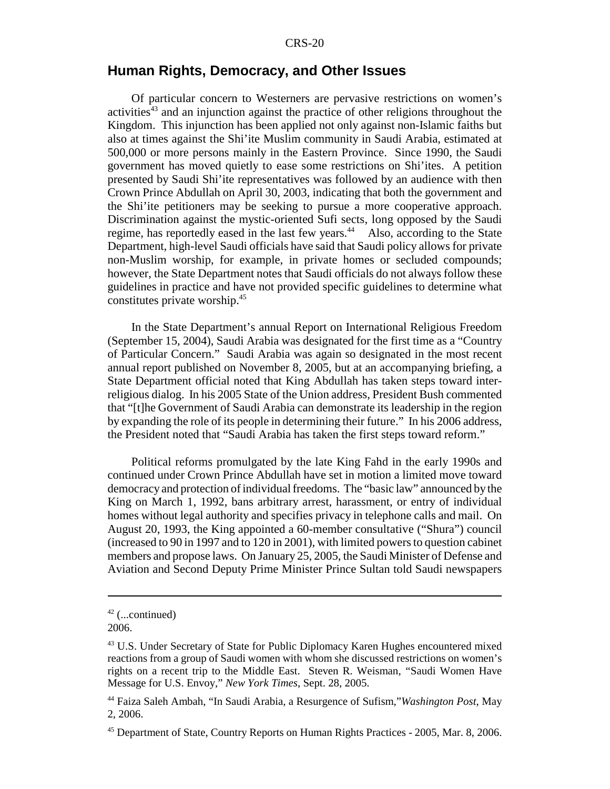### **Human Rights, Democracy, and Other Issues**

Of particular concern to Westerners are pervasive restrictions on women's activities<sup>43</sup> and an injunction against the practice of other religions throughout the Kingdom. This injunction has been applied not only against non-Islamic faiths but also at times against the Shi'ite Muslim community in Saudi Arabia, estimated at 500,000 or more persons mainly in the Eastern Province. Since 1990, the Saudi government has moved quietly to ease some restrictions on Shi'ites. A petition presented by Saudi Shi'ite representatives was followed by an audience with then Crown Prince Abdullah on April 30, 2003, indicating that both the government and the Shi'ite petitioners may be seeking to pursue a more cooperative approach. Discrimination against the mystic-oriented Sufi sects, long opposed by the Saudi regime, has reportedly eased in the last few years.<sup>44</sup> Also, according to the State Department, high-level Saudi officials have said that Saudi policy allows for private non-Muslim worship, for example, in private homes or secluded compounds; however, the State Department notes that Saudi officials do not always follow these guidelines in practice and have not provided specific guidelines to determine what constitutes private worship.45

In the State Department's annual Report on International Religious Freedom (September 15, 2004), Saudi Arabia was designated for the first time as a "Country of Particular Concern." Saudi Arabia was again so designated in the most recent annual report published on November 8, 2005, but at an accompanying briefing, a State Department official noted that King Abdullah has taken steps toward interreligious dialog. In his 2005 State of the Union address, President Bush commented that "[t]he Government of Saudi Arabia can demonstrate its leadership in the region by expanding the role of its people in determining their future." In his 2006 address, the President noted that "Saudi Arabia has taken the first steps toward reform."

Political reforms promulgated by the late King Fahd in the early 1990s and continued under Crown Prince Abdullah have set in motion a limited move toward democracy and protection of individual freedoms. The "basic law" announced by the King on March 1, 1992, bans arbitrary arrest, harassment, or entry of individual homes without legal authority and specifies privacy in telephone calls and mail. On August 20, 1993, the King appointed a 60-member consultative ("Shura") council (increased to 90 in 1997 and to 120 in 2001), with limited powers to question cabinet members and propose laws. On January 25, 2005, the Saudi Minister of Defense and Aviation and Second Deputy Prime Minister Prince Sultan told Saudi newspapers

 $42$  (...continued)

<sup>2006.</sup>

<sup>&</sup>lt;sup>43</sup> U.S. Under Secretary of State for Public Diplomacy Karen Hughes encountered mixed reactions from a group of Saudi women with whom she discussed restrictions on women's rights on a recent trip to the Middle East. Steven R. Weisman, "Saudi Women Have Message for U.S. Envoy," *New York Times*, Sept. 28, 2005.

<sup>44</sup> Faiza Saleh Ambah, "In Saudi Arabia, a Resurgence of Sufism,"*Washington Post*, May 2, 2006.

<sup>&</sup>lt;sup>45</sup> Department of State, Country Reports on Human Rights Practices - 2005, Mar. 8, 2006.